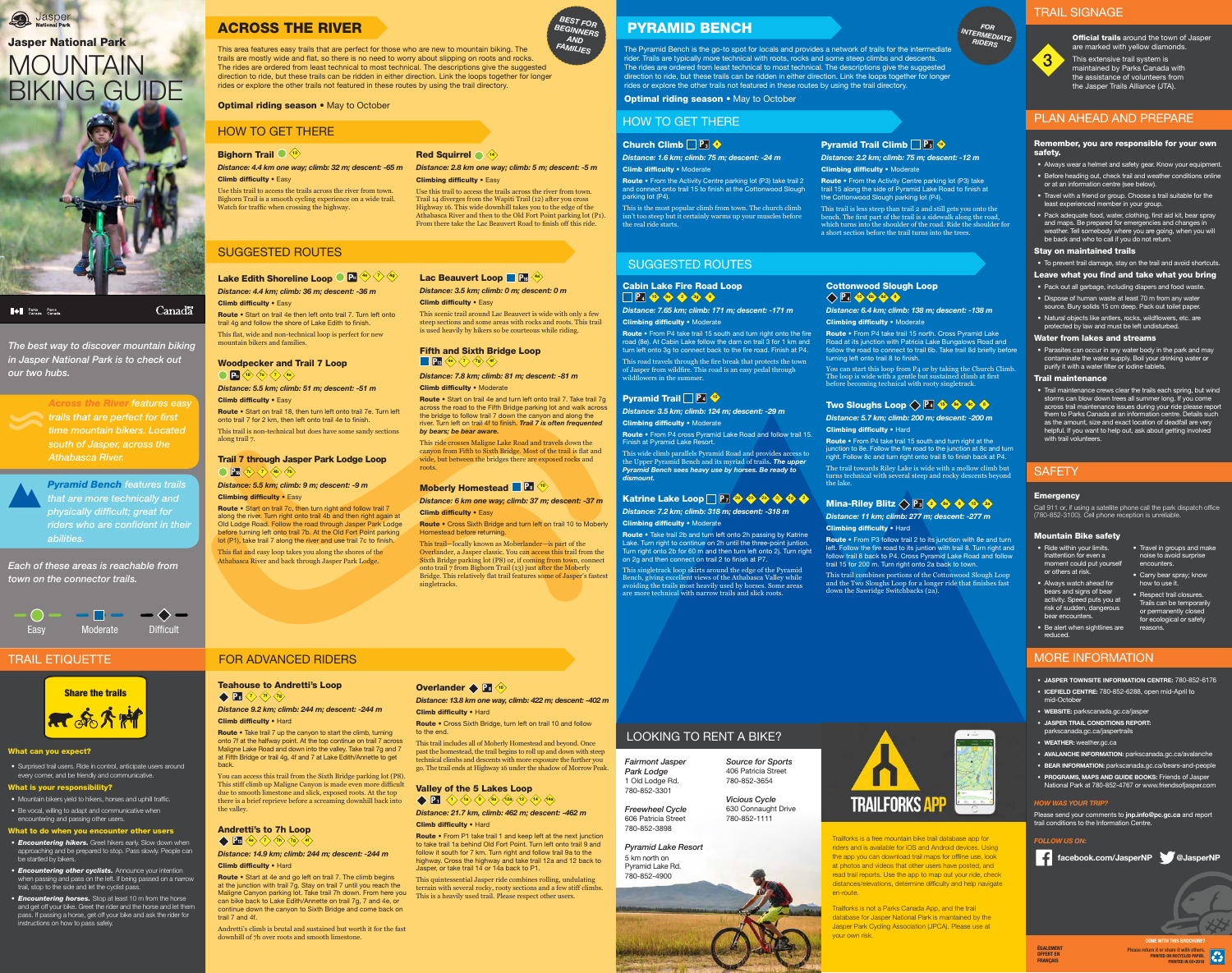*The best way to discover mountain biking in Jasper National Park is to check out our two hubs.* 



*Across the River features easy trails that are perfect for first time mountain bikers. Located south of Jasper, across the Athabasca River.*

*Pyramid Bench features trails that are more technically and physically difficult; great for riders who are confident in their abilities.* 

*Each of these areas is reachable from town on the connector trails.* 



Easy Moderate Difficult

**Conduction** National Park

# MOUNTAIN BIKING GUIDE Jasper National Park



**Allen Structure Parcs**<br>Canada Canada

**Canadä** 

### ACROSS THE RIVER

Lake Edith Shoreline Loop  $\bigcirc P_3 \stackrel{4\bullet}{\longleftrightarrow} \stackrel{7\searrow}{\longleftrightarrow} \stackrel{4\bullet}{\longleftrightarrow}$ *Distance: 4.4 km; climb: 36 m; descent: -36 m*

#### **Climb difficulty • Easy**

Route • Start on trail 4e then left onto trail 7. Turn left onto trail 4g and follow the shore of Lake Edith to finish. This flat, wide and non-technical loop is perfect for new mountain bikers and families.

### Woodpecker and Trail 7 Loop  $\left\langle \left\langle P_{13}\left\langle 18\right\rangle \left\langle 7\right\rangle \left\langle 4\right\rangle \right\rangle \right\langle 4e\rangle$

*Distance: 5.5 km; climb: 51 m; descent: -51 m* **Climb difficulty • Easy** 

Route • Start on trail 18, then turn left onto trail 7e. Turn left onto trail 7 for 2 km, then left onto trail 4e to finish.

#### Trail 7 through Jasper Park Lodge Loop  $\bigcirc$  **P<sub>18</sub>**  $\langle \overline{7c} \rangle$   $\langle \overline{7} \rangle$   $\langle \overline{4b} \rangle$   $\langle \overline{7b} \rangle$

*Distance: 5.5 km; climb: 9 m; descent: -9 m* **Climbing difficulty • Easy** 

### FOR ADVANCED RIDERS

### SUGGESTED ROUTES

Route • Start on trail 7c, then turn right and follow trail 7 along the river. Turn right onto trail 4b and then right again at Old Lodge Road. Follow the road through Jasper Park Lodge before turning left onto trail 7b. At the Old Fort Point parking lot (P1), take trail 7 along the river and use trail 7c to finish. This flat and easy loop takes you along the shores of the Athabasca River and back through Jasper Park Lodge.

### Lac Beauvert Loop **P18**  $\frac{4a}{3}$

*Distance: 3.5 km; climb: 0 m; descent: 0 m* **Climb difficulty • Easy** 

Fifth and Sixth Bridge Loop **P<sub>13</sub>**  $\left\langle \frac{4e}{7} \right\rangle \left\langle \frac{7g}{4f} \right\rangle \left\langle \frac{4f}{4f} \right\rangle$ 

Route • Start on trail 4e and turn left onto trail 7. Take trail 7g across the road to the Fifth Bridge parking lot and walk across the bridge to follow trail 7 down the canyon and along the river. Turn left on trail 4f to finish. *Trail 7 is often frequented by bears; be bear aware.*

*Distance: 6 km one way; climb: 37 m; descent: -37 m*  **Climb difficulty • Easy** 

Route • Cross Sixth Bridge and turn left on trail 10 to Moberly Homestead before returning.

This trail is non-technical but does have some sandy sections along trail 7.

*Distance: 4.4 km one way; climb: 32 m; descent: -65 m Distance: 2.8 km one way; climb: 5 m; descent: -5 m* **Climb difficulty • Easy** 

Route • Take trail 7 up the canyon to start the climb, turning onto 7f at the halfway point. At the top continue on trail 7 across Maligne Lake Road and down into the valley. Take trail 7g and 7 at Fifth Bridge or trail 4g, 4f and 7 at Lake Edith/Annette to get back.

This scenic trail around Lac Beauvert is wide with only a few steep sections and some areas with rocks and roots. This trail is used heavily by hikers so be courteous while riding.

This area features easy trails that are perfect for those who are new to mountain biking. The trails are mostly wide and flat, so there is no need to worry about slipping on roots and rocks. The rides are ordered from least technical to most technical. The descriptions give the suggested direction to ride, but these trails can be ridden in either direction. Link the loops together for longer rides or explore the other trails not featured in these routes by using the trail directory. *FAMILIES*

### **Optimal riding season • May to October**

### Andretti's to 7h Loop  $\leftarrow$  **P13**  $\left\langle \frac{4e}{7} \right\rangle \left\langle \frac{7h}{7} \right\rangle \left\langle \frac{7g}{4} \right\rangle \left\langle \frac{4f}{4} \right\rangle$

*Distance: 7.8 km; climb: 81 m; descent: -81 m*

Climb difficulty • Moderate

#### Route • Start at 4e and go left on trail 7. The climb begins at the junction with trail 7g. Stay on trail 7 until you reach the Maligne Canyon parking lot. Take trail 7h down. From here you can bike back to Lake Edith/Annette on trail 7g, 7 and 4e, or continue down the canyon to Sixth Bridge and come back on trail 7 and 4f.

*Distance: 13.8 km one way, climb: 422 m; descent: -402 m* **Climb difficulty • Hard** 

### Valley of the 5 Lakes Loop **P**  $\left(1 \right) \left\langle 1 \right\rangle \left\langle 1$ a  $\left\langle 9 \right\rangle \left\langle 9$ a  $\left\langle 12 \right\rangle \left\langle 12 \right\rangle \left\langle 14 \right\rangle \left\langle 14$ a

*Distance: 21.7 km, climb: 462 m; descent: -462 m* **Climb difficulty • Hard** 

This ride crosses Maligne Lake Road and travels down the canyon from Fifth to Sixth Bridge. Most of the trail is flat and wide, but between the bridges there are exposed rocks and roots.

#### **Moberly Homestead <b>P8**  $\left( \frac{10}{2} \right)$

Route • From P1 take trail 1 and keep left at the next junction to take trail 1a behind Old Fort Point. Turn left onto trail 9 and follow it south for 7 km. Turn right and follow trail 9a to the highway. Cross the highway and take trail 12a and 12 back to Jasper, or take trail 14 or 14a back to P1.

This trail—locally known as Moberlander—is part of the Overlander, a Jasper classic. You can access this trail from the Sixth Bridge parking lot (P8) or, if coming from town, connect onto trail 7 from Bighorn Trail (13) just after the Moberly Bridge. This relatively flat trail features some of Jasper's fastest singletracks.

### HOW TO GET THERE

### **Bighorn Trail**  $\bigcirc$   $\overline{\langle 13 \rangle}$

Route • From P4 take trail 15 south and turn right onto the fire road (8e). At Cabin Lake follow the dam on trail 3 for 1 km and turn left onto 3g to connect back to the fire road. Finish at P4. This road travels through the fire break that protects the town of Jasper from wildfire. This road is an easy pedal through

Use this trail to access the trails across the river from town. Bighorn Trail is a smooth cycling experience on a wide trail. Watch for traffic when crossing the highway.

### Red Squirrel  $\bigcirc$   $\langle 14 \rangle$

**Climbing difficulty • Easy** 

**Pyramid Trail** P<sub>4</sub> <sup>15</sup> **Climbing difficulty • Moderate** Finish at Pyramid Lake Resort.

### Katrine Lake Loop **P**<sub>7</sub> 2b 2h 2b 2j 2j 2 *Distance: 7.2 km; climb: 318 m; descent: -318 m*

Use this trail to access the trails across the river from town. Trail 14 diverges from the Wapiti Trail (12) after you cross Highway 16. This wide downhill takes you to the edge of the Athabasca River and then to the Old Fort Point parking lot (P1). From there take the Lac Beauvert Road to finish off this ride.

### Cottonwood Slough Loop  $\left| \right|$   $\left| \right|$   $\left| \right|$   $\left| \right|$   $\left| \right|$   $\left| \right|$   $\left| \right|$   $\left| \right|$   $\left| \right|$   $\left| \right|$   $\left| \right|$   $\left| \right|$   $\left| \right|$   $\left| \right|$   $\left| \right|$   $\left| \right|$   $\left| \right|$   $\left| \right|$   $\left| \right|$   $\left| \right|$   $\left| \right|$   $\left| \right|$   $\left| \right|$   $\left| \right|$   $\left| \$

*Distance: 6.4 km; climb: 138 m; descent: -138 m* **Climbing difficulty • Moderate** 

### *BEST FOR BEGINNERS AND*

**Optimal riding season • May to October** 

### Teahouse to Andretti's Loop

 $\left\langle \left\langle \mathbf{P}_{8}\right\rangle \left\langle \mathbf{P}_{8}\right\rangle \left\langle \mathbf{P}_{8}\right\rangle \left\langle \mathbf{P}_{9}\right\rangle \left\langle \mathbf{P}_{9}\right\rangle$ 

*Distance 9.2 km; climb: 244 m; descent: -244 m* Climb difficulty • Hard

Route • From P4 take trail 15 north. Cross Pyramid Lake Road at its junction with Patricia Lake Bungalows Road and follow the road to connect to trail 6b. Take trail 8d briefly before turning left onto trail 8 to finish.

Route • From P4 take trail 15 south and turn right at the junction to 8e. Follow the fire road to the junction at 8c and turn right. Follow 8c and turn right onto trail 8 to finish back at P4. The trail towards Riley Lake is wide with a mellow climb but turns technical with several steep and rocky descents beyond the lake.

### Mina-Riley Blitz  $\left\langle \right\rangle$  P<sub>3</sub> 2 8e 8 15 2a

*Distance: 11 km; climb: 277 m; descent: -277 m* **Climbing difficulty • Hard** 

You can access this trail from the Sixth Bridge parking lot (P8). This stiff climb up Maligne Canyon is made even more difficult due to smooth limestone and slick, exposed roots. At the top there is a brief reprieve before a screaming downhill back into the valley.

Route • From P3 follow trail 2 to its junction with 8e and turn left. Follow the fire road to its juntion with trail 8. Turn right and follow trail 8 back to P4. Cross Pyramid Lake Road and follow trail 15 for 200 m. Turn right onto 2a back to town.

This trail combines portions of the Cottonwood Slough Loop and the Two Sloughs Loop for a longer ride that finishes fast down the Sawridge Switchbacks (2a).

*Distance: 14.9 km; climb: 244 m; descent: -244 m* Climb difficulty • Hard

Route • From the Activity Centre parking lot (P3) take trail 2 and connect onto trail 15 to finish at the Cottonwood Slough

Route • From the Activity Centre parking lot (P3) take trail 15 along the side of Pyramid Lake Road to finish at the Cottonwood Slough parking lot (P4).

Andretti's climb is brutal and sustained but worth it for the fast downhill of 7h over roots and smooth limestone.

### **Overlander • P 8**  $\overline{10}$

Route • Cross Sixth Bridge, turn left on trail 10 and follow to the end.

This trail includes all of Moberly Homestead and beyond. Once past the homestead, the trail begins to roll up and down with steep technical climbs and descents with more exposure the further you go. The trail ends at Highway 16 under the shadow of Morrow Peak.

This quintessential Jasper ride combines rolling, undulating terrain with several rocky, rooty sections and a few stiff climbs. This is a heavily used trail. Please respect other users.

*FOR INTERMEDIATE RIDERS*

### PYRAMID BENCH

### SUGGESTED ROUTES

Please send your comments to jnp.info@pc.gc.ca and report trail conditions to the Information Centre.

The Pyramid Bench is the go-to spot for locals and provides a network of trails for the intermediate rider. Trails are typically more technical with roots, rocks and some steep climbs and descents. The rides are ordered from least technical to most technical. The descriptions give the suggested direction to ride, but these trails can be ridden in either direction. Link the loops together for longer rides or explore the other trails not featured in these routes by using the trail directory.

## Cabin Lake Fire Road Loop

## *Distance: 7.65 km; climb: 171 m; descent: -171 m*

• Parasites can occur in any water body in the park and may contaminate the water supply. Boil your drinking water or purify it with a water filter or iodine tablets.

• Trail maintenance crews clear the trails each spring, but wind storms can blow down trees all summer long. If you come across trail maintenance issues during your ride please report them to Parks Canada at an information centre. Details such as the amount, size and exact location of deadfall are very helpful. If you want to help out, ask about getting involved with trail volunteers.

### **SAFETY**

#### **Emergency**

Climbing difficulty • Moderate wildflowers in the summer.

> OFFERT EN **FRANCAIS**

**Official trails** around the town of Jasper are marked with yellow diamonds.

*Distance: 3.5 km; climb: 124 m; descent: -29 m*

Route • From P4 cross Pyramid Lake Road and follow trail 15.

This wide climb parallels Pyramid Road and provides access to the Upper Pyramid Bench and its myriad of trails*. The upper Pyramid Bench sees heavy use by horses. Be ready to dismount.*

Climbing difficulty • Moderate Route • Take trail 2b and turn left onto 2h passing by Katrine Lake. Turn right to continue on 2h until the three-point juntion. Turn right onto 2b for 60 m and then turn left onto 2j. Turn right

on 2g and then connect on trail 2 to finish at P7. This singletrack loop skirts around the edge of the Pyramid Bench, giving excellent views of the Athabasca Valley while avoiding the trails most heavily used by horses. Some areas are more technical with narrow trails and slick roots.

You can start this loop from P4 or by taking the Church Climb. The loop is wide with a gentle but sustained climb at first before becoming technical with rooty singletrack.

### Two Sloughs Loop  $\left\langle \right\rangle$  **P**<sub>4</sub>  $\left\langle \right\rangle$   $\left\langle \right\rangle$   $\left\langle \right\rangle$   $\left\langle \right\rangle$   $\left\langle \right\rangle$

*Distance: 5.7 km; climb: 200 m; descent: -200 m*  Climbing difficulty • Hard

### HOW TO GET THERE

#### **Church Climb**  $\boxed{P_3 \leftarrow$

*Distance: 1.6 km; climb: 75 m; descent: -24 m*

Climb difficulty • Moderate parking lot (P4). the real ride starts.

# **P** 4 15 8e 3 3g 8

This is the most popular climb from town. The church climb isn't too steep but it certainly warms up your muscles before

### **Pyramid Trail Climb P3**

*Distance: 2.2 km; climb: 75 m; descent: -12 m* Climbing difficulty • Moderate

This trail is less steep than trail 2 and still gets you onto the bench. The first part of the trail is a sidewalk along the road, which turns into the shoulder of the road. Ride the shoulder for a short section before the trail turns into the trees.

### TRAIL ETIQUETTE

#### What can you expect?

• Surprised trail users. Ride in control, anticipate users around every corner, and be friendly and communicative.

#### What is your responsibility?

• Mountain bikers yield to hikers, horses and uphill traffic. • Be vocal, willing to adapt and communicative when encountering and passing other users.

### What to do when you encounter other users

- *• Encountering hikers.* Greet hikers early. Slow down when approaching and be prepared to stop. Pass slowly. People can be startled by bikers.
- *• Encountering other cyclists.* Announce your intention when passing and pass on the left. If being passed on a narrow trail, stop to the side and let the cyclist pass.
- *• Encountering horses.* Stop at least 10 m from the horse and get off your bike. Greet the rider and the horse and let them pass. If passing a horse, get off your bike and ask the rider for instructions on how to pass safely.

Trailforks is a free mountain bike trail database app for riders and is available for iOS and Android devices. Using the app you can download trail maps for offline use, look at photos and videos that other users have posted, and read trail reports. Use the app to map out your ride, check distances/elevations, determine difficulty and help navigate en-route.

Trailforks is not a Parks Canada App, and the trail database for Jasper National Park is maintained by the Jasper Park Cycling Association (JPCA). Please use at your own risk.



LOOKING TO RENT A BIKE?

*Fairmont Jasper Park Lodge* 1 Old Lodge Rd. 780-852-3301

*Freewheel Cycle* 606 Patricia Street 780-852-3898

*Pyramid Lake Resort* 5 km north on



*Source for Sports* 406 Patricia Street



780-852-3654 *Vicious Cycle* 630 Connaught Drive

780-852-1111

TRAILFORKS APP

### MORE INFORMATION

- JASPER TOWNSITE INFORMATION CENTRE: 780-852-6176
- ICEFIELD CENTRE: 780-852-6288, open mid-April to mid-October
- WEBSITE: parkscanada.gc.ca/jasper
- JASPER TRAIL CONDITIONS REPORT:
- parkscanada.gc.ca/jaspertrails
- WEATHER: weather.gc.ca
- AVALANCHE INFORMATION: parkscanada.gc.ca/avalanche
- BEAR INFORMATION: parkscanada.gc.ca/bears-and-people • PROGRAMS, MAPS AND GUIDE BOOKS: Friends of Jasper
- National Park at 780-852-4767 or www.friendsofjasper.com

### *HOW WAS YOUR TRIP?*

### *FOLLOW US ON:*



#### Remember, you are responsible for your own safety.

- Always wear a helmet and safety gear. Know your equipment.
- Before heading out, check trail and weather conditions online or at an information centre (see below).
- Travel with a friend or group. Choose a trail suitable for the least experienced member in your group.
- Pack adequate food, water, clothing, first aid kit, bear spray and maps. Be prepared for emergencies and changes in weather. Tell somebody where you are going, when you will be back and who to call if you do not return.

#### Stay on maintained trails

#### • To prevent trail damage, stay on the trail and avoid shortcuts. Leave what you find and take what you bring

- Pack out all garbage, including diapers and food waste.
- Dispose of human waste at least 70 m from any water
- source. Bury solids 15 cm deep. Pack out toilet paper.
- Natural objects like antlers, rocks, wildflowers, etc. are protected by law and must be left undisturbed.

### Water from lakes and streams

### Trail maintenance

### PLAN AHEAD AND PREPARE

PRINTED ON RECYCLED PAPER. PRINTED IN 03•2018 DONE WITH THIS BROCHURE? Please return it or share it with others. ÉGALEMENT

### TRAIL SIGNAGE



This extensive trail system is maintained by Parks Canada with the assistance of volunteers from the Jasper Trails Alliance (JTA).

Call 911 or, if using a satellite phone call the park dispatch office (780-852-3100). Cell phone reception is unreliable.

#### Mountain Bike safety

- Ride within your limits. Inattention for even a moment could put yourself or others at risk.
- Always watch ahead for bears and signs of bear activity. Speed puts you at risk of sudden, dangerous bear encounters.
- Be alert when sightlines are reduced.

• Travel in groups and make noise to avoid surprise

encounters.

• Carry bear spray; know how to use it.

• Respect trail closures. Trails can be temporarily or permanently closed for ecological or safety

reasons.